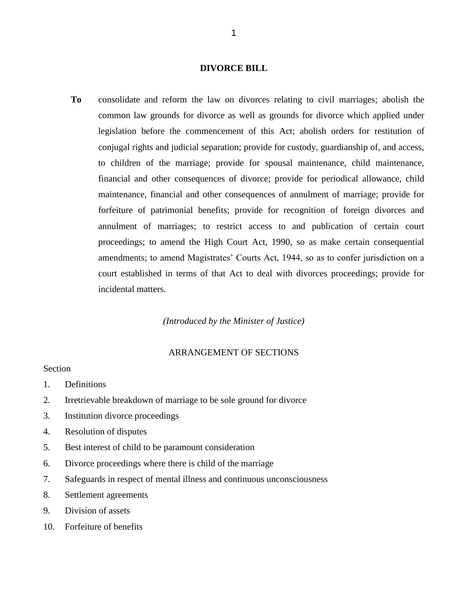## **DIVORCE BILL**

**To** consolidate and reform the law on divorces relating to civil marriages; abolish the common law grounds for divorce as well as grounds for divorce which applied under legislation before the commencement of this Act; abolish orders for restitution of conjugal rights and judicial separation; provide for custody, guardianship of, and access, to children of the marriage; provide for spousal maintenance, child maintenance, financial and other consequences of divorce; provide for periodical allowance, child maintenance, financial and other consequences of annulment of marriage; provide for forfeiture of patrimonial benefits; provide for recognition of foreign divorces and annulment of marriages; to restrict access to and publication of certain court proceedings; to amend the High Court Act, 1990, so as make certain consequential amendments; to amend Magistrates' Courts Act, 1944, so as to confer jurisdiction on a court established in terms of that Act to deal with divorces proceedings; provide for incidental matters.

*(Introduced by the Minister of Justice)*

# ARRANGEMENT OF SECTIONS

### Section

- 1. Definitions
- 2. Irretrievable breakdown of marriage to be sole ground for divorce
- 3. Institution divorce proceedings
- 4. Resolution of disputes
- 5. Best interest of child to be paramount consideration
- 6. Divorce proceedings where there is child of the marriage
- 7. Safeguards in respect of mental illness and continuous unconsciousness
- 8. Settlement agreements
- 9. Division of assets
- 10. Forfeiture of benefits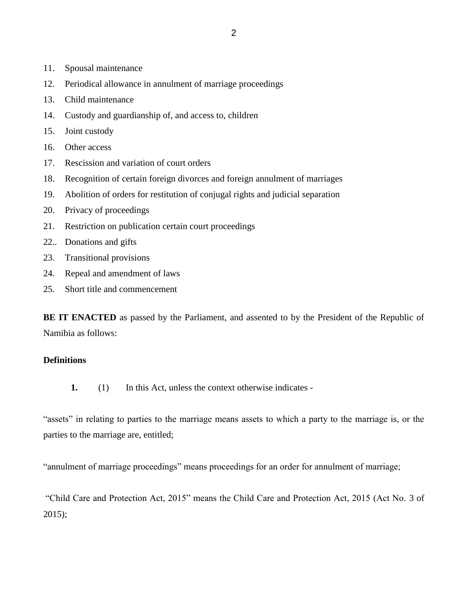- 11. Spousal maintenance
- 12. Periodical allowance in annulment of marriage proceedings
- 13. Child maintenance
- 14. Custody and guardianship of, and access to, children
- 15. Joint custody
- 16. Other access
- 17. Rescission and variation of court orders
- 18. Recognition of certain foreign divorces and foreign annulment of marriages
- 19. Abolition of orders for restitution of conjugal rights and judicial separation
- 20. Privacy of proceedings
- 21. Restriction on publication certain court proceedings
- 22.. Donations and gifts
- 23. Transitional provisions
- 24. Repeal and amendment of laws
- 25. Short title and commencement

**BE IT ENACTED** as passed by the Parliament, and assented to by the President of the Republic of Namibia as follows:

## **Definitions**

**1.** (1) In this Act, unless the context otherwise indicates -

"assets" in relating to parties to the marriage means assets to which a party to the marriage is, or the parties to the marriage are, entitled;

"annulment of marriage proceedings" means proceedings for an order for annulment of marriage;

"Child Care and Protection Act, 2015" means the Child Care and Protection Act, 2015 (Act No. 3 of 2015);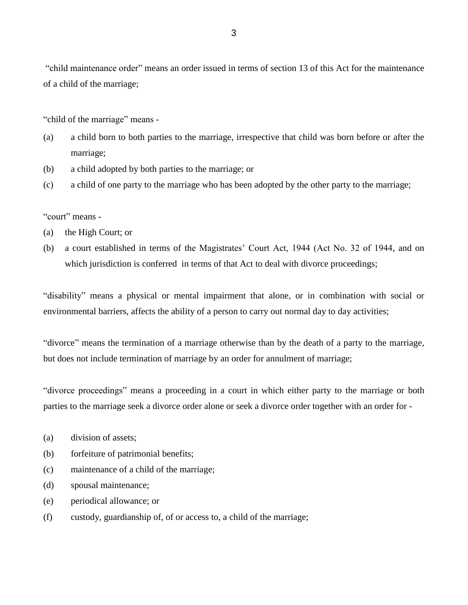"child maintenance order" means an order issued in terms of section 13 of this Act for the maintenance of a child of the marriage;

"child of the marriage" means -

- (a) a child born to both parties to the marriage, irrespective that child was born before or after the marriage;
- (b) a child adopted by both parties to the marriage; or
- (c) a child of one party to the marriage who has been adopted by the other party to the marriage;

## "court" means -

- (a) the High Court; or
- (b) a court established in terms of the Magistrates' Court Act, 1944 (Act No. 32 of 1944, and on which jurisdiction is conferred in terms of that Act to deal with divorce proceedings;

"disability" means a physical or mental impairment that alone, or in combination with social or environmental barriers, affects the ability of a person to carry out normal day to day activities;

"divorce" means the termination of a marriage otherwise than by the death of a party to the marriage, but does not include termination of marriage by an order for annulment of marriage;

"divorce proceedings" means a proceeding in a court in which either party to the marriage or both parties to the marriage seek a divorce order alone or seek a divorce order together with an order for -

- (a) division of assets;
- (b) forfeiture of patrimonial benefits;
- (c) maintenance of a child of the marriage;
- (d) spousal maintenance;
- (e) periodical allowance; or
- (f) custody, guardianship of, of or access to, a child of the marriage;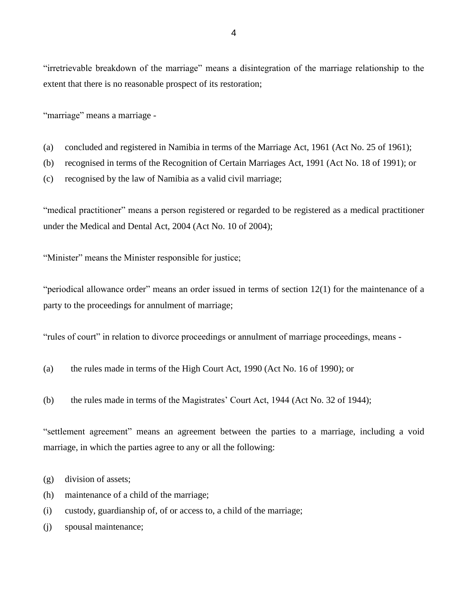"irretrievable breakdown of the marriage" means a disintegration of the marriage relationship to the extent that there is no reasonable prospect of its restoration;

"marriage" means a marriage -

- (a) concluded and registered in Namibia in terms of the Marriage Act, 1961 (Act No. 25 of 1961);
- (b) recognised in terms of the Recognition of Certain Marriages Act, 1991 (Act No. 18 of 1991); or
- (c) recognised by the law of Namibia as a valid civil marriage;

"medical practitioner" means a person registered or regarded to be registered as a medical practitioner under the Medical and Dental Act, 2004 (Act No. 10 of 2004);

"Minister" means the Minister responsible for justice;

"periodical allowance order" means an order issued in terms of section 12(1) for the maintenance of a party to the proceedings for annulment of marriage;

"rules of court" in relation to divorce proceedings or annulment of marriage proceedings, means -

- (a) the rules made in terms of the High Court Act, 1990 (Act No. 16 of 1990); or
- (b) the rules made in terms of the Magistrates' Court Act, 1944 (Act No. 32 of 1944);

"settlement agreement" means an agreement between the parties to a marriage, including a void marriage, in which the parties agree to any or all the following:

- (g) division of assets;
- (h) maintenance of a child of the marriage;
- (i) custody, guardianship of, of or access to, a child of the marriage;
- (j) spousal maintenance;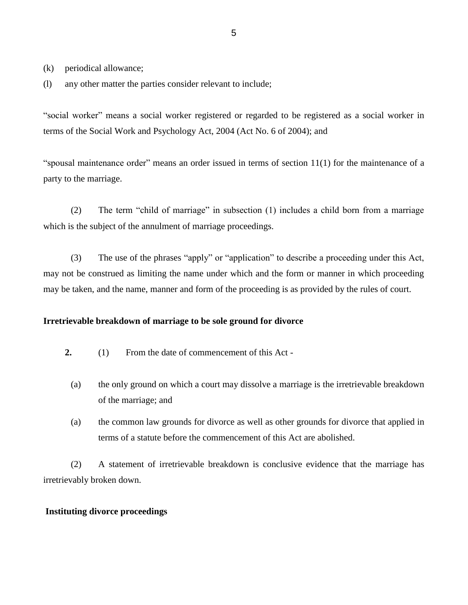(k) periodical allowance;

(l) any other matter the parties consider relevant to include;

"social worker" means a social worker registered or regarded to be registered as a social worker in terms of the Social Work and Psychology Act, 2004 (Act No. 6 of 2004); and

"spousal maintenance order" means an order issued in terms of section 11(1) for the maintenance of a party to the marriage.

(2) The term "child of marriage" in subsection (1) includes a child born from a marriage which is the subject of the annulment of marriage proceedings.

(3) The use of the phrases "apply" or "application" to describe a proceeding under this Act, may not be construed as limiting the name under which and the form or manner in which proceeding may be taken, and the name, manner and form of the proceeding is as provided by the rules of court.

### **Irretrievable breakdown of marriage to be sole ground for divorce**

- **2.** (1) From the date of commencement of this Act
	- (a) the only ground on which a court may dissolve a marriage is the irretrievable breakdown of the marriage; and
	- (a) the common law grounds for divorce as well as other grounds for divorce that applied in terms of a statute before the commencement of this Act are abolished.

(2) A statement of irretrievable breakdown is conclusive evidence that the marriage has irretrievably broken down.

#### **Instituting divorce proceedings**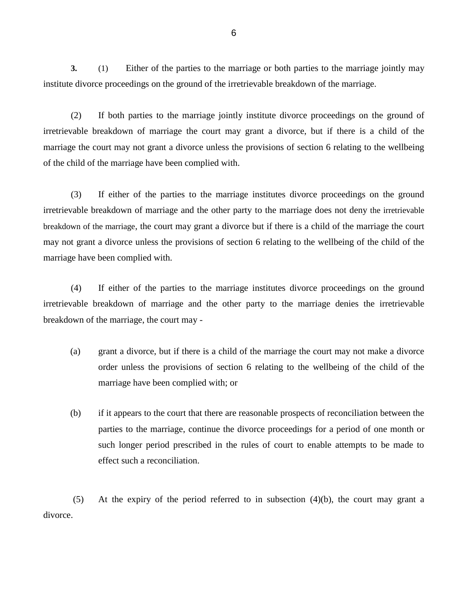**3.** (1) Either of the parties to the marriage or both parties to the marriage jointly may institute divorce proceedings on the ground of the irretrievable breakdown of the marriage.

(2) If both parties to the marriage jointly institute divorce proceedings on the ground of irretrievable breakdown of marriage the court may grant a divorce, but if there is a child of the marriage the court may not grant a divorce unless the provisions of section 6 relating to the wellbeing of the child of the marriage have been complied with.

(3) If either of the parties to the marriage institutes divorce proceedings on the ground irretrievable breakdown of marriage and the other party to the marriage does not deny the irretrievable breakdown of the marriage, the court may grant a divorce but if there is a child of the marriage the court may not grant a divorce unless the provisions of section 6 relating to the wellbeing of the child of the marriage have been complied with.

(4) If either of the parties to the marriage institutes divorce proceedings on the ground irretrievable breakdown of marriage and the other party to the marriage denies the irretrievable breakdown of the marriage, the court may -

- (a) grant a divorce, but if there is a child of the marriage the court may not make a divorce order unless the provisions of section 6 relating to the wellbeing of the child of the marriage have been complied with; or
- (b) if it appears to the court that there are reasonable prospects of reconciliation between the parties to the marriage, continue the divorce proceedings for a period of one month or such longer period prescribed in the rules of court to enable attempts to be made to effect such a reconciliation.

(5) At the expiry of the period referred to in subsection (4)(b), the court may grant a divorce.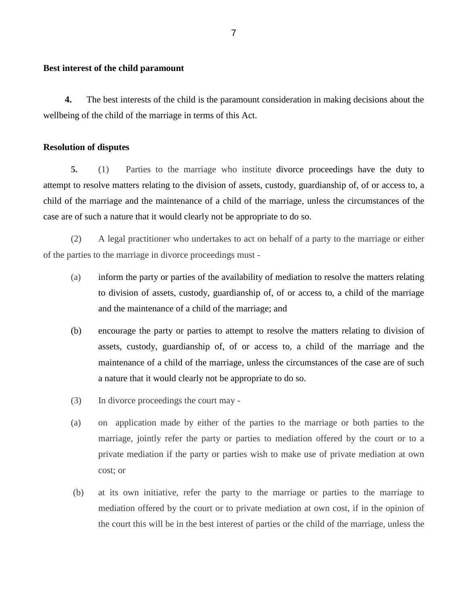#### **Best interest of the child paramount**

**4.** The best interests of the child is the paramount consideration in making decisions about the wellbeing of the child of the marriage in terms of this Act.

#### **Resolution of disputes**

**5.** (1) Parties to the marriage who institute divorce proceedings have the duty to attempt to resolve matters relating to the division of assets, custody, guardianship of, of or access to, a child of the marriage and the maintenance of a child of the marriage, unless the circumstances of the case are of such a nature that it would clearly not be appropriate to do so.

(2) A legal practitioner who undertakes to act on behalf of a party to the marriage or either of the parties to the marriage in divorce proceedings must -

- (a) inform the party or parties of the availability of mediation to resolve the matters relating to division of assets, custody, guardianship of, of or access to, a child of the marriage and the maintenance of a child of the marriage; and
- (b) encourage the party or parties to attempt to resolve the matters relating to division of assets, custody, guardianship of, of or access to, a child of the marriage and the maintenance of a child of the marriage, unless the circumstances of the case are of such a nature that it would clearly not be appropriate to do so.
- (3) In divorce proceedings the court may -
- (a) on application made by either of the parties to the marriage or both parties to the marriage, jointly refer the party or parties to mediation offered by the court or to a private mediation if the party or parties wish to make use of private mediation at own cost; or
- (b) at its own initiative, refer the party to the marriage or parties to the marriage to mediation offered by the court or to private mediation at own cost, if in the opinion of the court this will be in the best interest of parties or the child of the marriage, unless the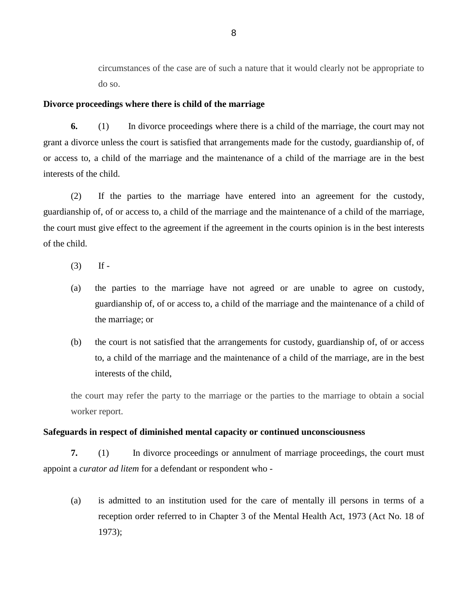circumstances of the case are of such a nature that it would clearly not be appropriate to do so.

#### **Divorce proceedings where there is child of the marriage**

**6.** (1) In divorce proceedings where there is a child of the marriage, the court may not grant a divorce unless the court is satisfied that arrangements made for the custody, guardianship of, of or access to, a child of the marriage and the maintenance of a child of the marriage are in the best interests of the child.

(2) If the parties to the marriage have entered into an agreement for the custody, guardianship of, of or access to, a child of the marriage and the maintenance of a child of the marriage, the court must give effect to the agreement if the agreement in the courts opinion is in the best interests of the child.

- $(3)$  If -
- (a) the parties to the marriage have not agreed or are unable to agree on custody, guardianship of, of or access to, a child of the marriage and the maintenance of a child of the marriage; or
- (b) the court is not satisfied that the arrangements for custody, guardianship of, of or access to, a child of the marriage and the maintenance of a child of the marriage, are in the best interests of the child,

the court may refer the party to the marriage or the parties to the marriage to obtain a social worker report.

#### **Safeguards in respect of diminished mental capacity or continued unconsciousness**

**7.** (1) In divorce proceedings or annulment of marriage proceedings, the court must appoint a *curator ad litem* for a defendant or respondent who -

(a) is admitted to an institution used for the care of mentally ill persons in terms of a reception order referred to in Chapter 3 of the Mental Health Act, 1973 (Act No. 18 of 1973);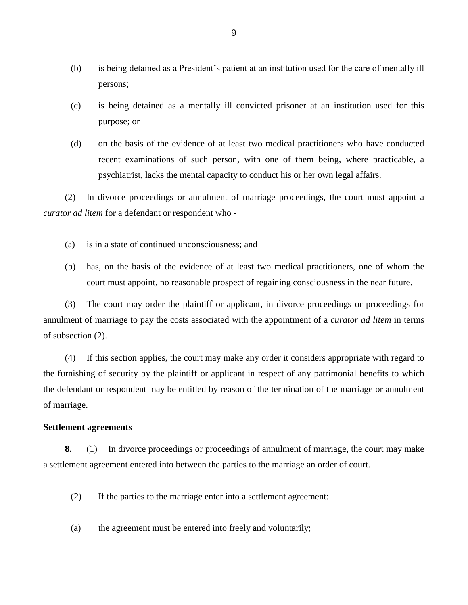- (b) is being detained as a President's patient at an institution used for the care of mentally ill persons;
- (c) is being detained as a mentally ill convicted prisoner at an institution used for this purpose; or
- (d) on the basis of the evidence of at least two medical practitioners who have conducted recent examinations of such person, with one of them being, where practicable, a psychiatrist, lacks the mental capacity to conduct his or her own legal affairs.

(2) In divorce proceedings or annulment of marriage proceedings, the court must appoint a *curator ad litem* for a defendant or respondent who -

- (a) is in a state of continued unconsciousness; and
- (b) has, on the basis of the evidence of at least two medical practitioners, one of whom the court must appoint, no reasonable prospect of regaining consciousness in the near future.

(3) The court may order the plaintiff or applicant, in divorce proceedings or proceedings for annulment of marriage to pay the costs associated with the appointment of a *curator ad litem* in terms of subsection (2).

(4) If this section applies, the court may make any order it considers appropriate with regard to the furnishing of security by the plaintiff or applicant in respect of any patrimonial benefits to which the defendant or respondent may be entitled by reason of the termination of the marriage or annulment of marriage.

#### **Settlement agreements**

**8.** (1) In divorce proceedings or proceedings of annulment of marriage, the court may make a settlement agreement entered into between the parties to the marriage an order of court.

- (2) If the parties to the marriage enter into a settlement agreement:
- (a) the agreement must be entered into freely and voluntarily;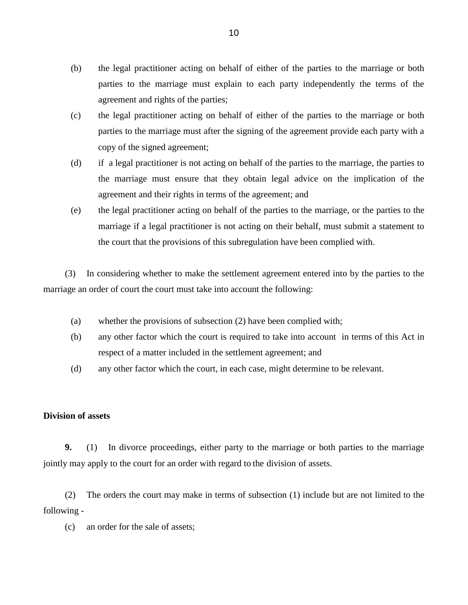- (b) the legal practitioner acting on behalf of either of the parties to the marriage or both parties to the marriage must explain to each party independently the terms of the agreement and rights of the parties;
- (c) the legal practitioner acting on behalf of either of the parties to the marriage or both parties to the marriage must after the signing of the agreement provide each party with a copy of the signed agreement;
- (d) if a legal practitioner is not acting on behalf of the parties to the marriage, the parties to the marriage must ensure that they obtain legal advice on the implication of the agreement and their rights in terms of the agreement; and
- (e) the legal practitioner acting on behalf of the parties to the marriage, or the parties to the marriage if a legal practitioner is not acting on their behalf, must submit a statement to the court that the provisions of this subregulation have been complied with.

(3) In considering whether to make the settlement agreement entered into by the parties to the marriage an order of court the court must take into account the following:

- (a) whether the provisions of subsection (2) have been complied with;
- (b) any other factor which the court is required to take into account in terms of this Act in respect of a matter included in the settlement agreement; and
- (d) any other factor which the court, in each case, might determine to be relevant.

# **Division of assets**

**9.** (1) In divorce proceedings, either party to the marriage or both parties to the marriage jointly may apply to the court for an order with regard to the division of assets.

(2) The orders the court may make in terms of subsection (1) include but are not limited to the following -

(c) an order for the sale of assets;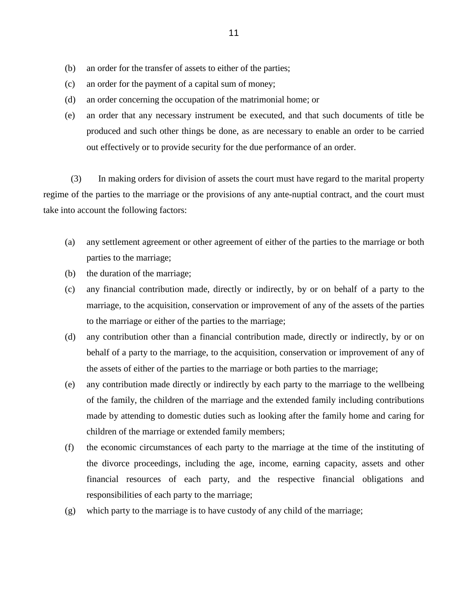- (b) an order for the transfer of assets to either of the parties;
- (c) an order for the payment of a capital sum of money;
- (d) an order concerning the occupation of the matrimonial home; or
- (e) an order that any necessary instrument be executed, and that such documents of title be produced and such other things be done, as are necessary to enable an order to be carried out effectively or to provide security for the due performance of an order.

(3) In making orders for division of assets the court must have regard to the marital property regime of the parties to the marriage or the provisions of any ante-nuptial contract, and the court must take into account the following factors:

- (a) any settlement agreement or other agreement of either of the parties to the marriage or both parties to the marriage;
- (b) the duration of the marriage;
- (c) any financial contribution made, directly or indirectly, by or on behalf of a party to the marriage, to the acquisition, conservation or improvement of any of the assets of the parties to the marriage or either of the parties to the marriage;
- (d) any contribution other than a financial contribution made, directly or indirectly, by or on behalf of a party to the marriage, to the acquisition, conservation or improvement of any of the assets of either of the parties to the marriage or both parties to the marriage;
- (e) any contribution made directly or indirectly by each party to the marriage to the wellbeing of the family, the children of the marriage and the extended family including contributions made by attending to domestic duties such as looking after the family home and caring for children of the marriage or extended family members;
- (f) the economic circumstances of each party to the marriage at the time of the instituting of the divorce proceedings, including the age, income, earning capacity, assets and other financial resources of each party, and the respective financial obligations and responsibilities of each party to the marriage;
- (g) which party to the marriage is to have custody of any child of the marriage;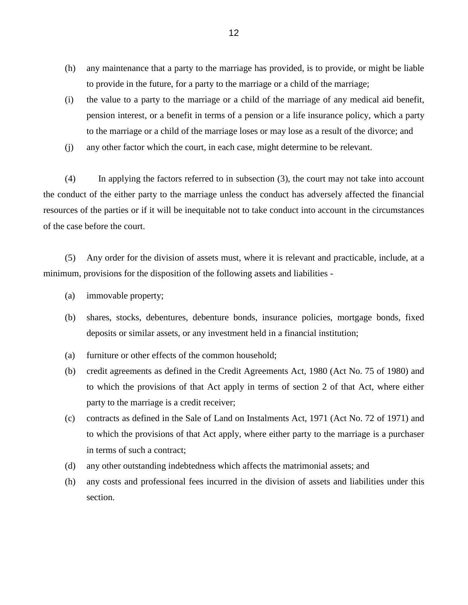- (h) any maintenance that a party to the marriage has provided, is to provide, or might be liable to provide in the future, for a party to the marriage or a child of the marriage;
- (i) the value to a party to the marriage or a child of the marriage of any medical aid benefit, pension interest, or a benefit in terms of a pension or a life insurance policy, which a party to the marriage or a child of the marriage loses or may lose as a result of the divorce; and
- (j) any other factor which the court, in each case, might determine to be relevant.

(4) In applying the factors referred to in subsection (3), the court may not take into account the conduct of the either party to the marriage unless the conduct has adversely affected the financial resources of the parties or if it will be inequitable not to take conduct into account in the circumstances of the case before the court.

(5) Any order for the division of assets must, where it is relevant and practicable, include, at a minimum, provisions for the disposition of the following assets and liabilities -

- (a) immovable property;
- (b) shares, stocks, debentures, debenture bonds, insurance policies, mortgage bonds, fixed deposits or similar assets, or any investment held in a financial institution;
- (a) furniture or other effects of the common household;
- (b) credit agreements as defined in the Credit Agreements Act, 1980 (Act No. 75 of 1980) and to which the provisions of that Act apply in terms of section 2 of that Act, where either party to the marriage is a credit receiver;
- (c) contracts as defined in the Sale of Land on Instalments Act, 1971 (Act No. 72 of 1971) and to which the provisions of that Act apply, where either party to the marriage is a purchaser in terms of such a contract;
- (d) any other outstanding indebtedness which affects the matrimonial assets; and
- (h) any costs and professional fees incurred in the division of assets and liabilities under this section.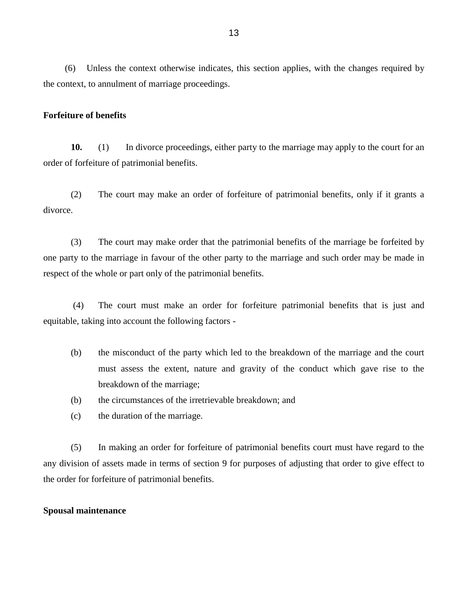(6) Unless the context otherwise indicates, this section applies, with the changes required by the context, to annulment of marriage proceedings.

#### **Forfeiture of benefits**

**10.** (1) In divorce proceedings, either party to the marriage may apply to the court for an order of forfeiture of patrimonial benefits.

(2) The court may make an order of forfeiture of patrimonial benefits, only if it grants a divorce.

(3) The court may make order that the patrimonial benefits of the marriage be forfeited by one party to the marriage in favour of the other party to the marriage and such order may be made in respect of the whole or part only of the patrimonial benefits.

(4) The court must make an order for forfeiture patrimonial benefits that is just and equitable, taking into account the following factors -

- (b) the misconduct of the party which led to the breakdown of the marriage and the court must assess the extent, nature and gravity of the conduct which gave rise to the breakdown of the marriage;
- (b) the circumstances of the irretrievable breakdown; and
- (c) the duration of the marriage.

(5) In making an order for forfeiture of patrimonial benefits court must have regard to the any division of assets made in terms of section 9 for purposes of adjusting that order to give effect to the order for forfeiture of patrimonial benefits.

#### **Spousal maintenance**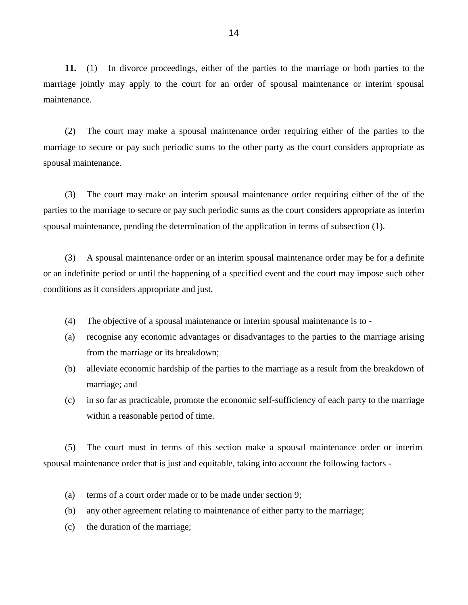**11.** (1) In divorce proceedings, either of the parties to the marriage or both parties to the marriage jointly may apply to the court for an order of spousal maintenance or interim spousal maintenance.

(2) The court may make a spousal maintenance order requiring either of the parties to the marriage to secure or pay such periodic sums to the other party as the court considers appropriate as spousal maintenance.

(3) The court may make an interim spousal maintenance order requiring either of the of the parties to the marriage to secure or pay such periodic sums as the court considers appropriate as interim spousal maintenance, pending the determination of the application in terms of subsection (1).

(3) A spousal maintenance order or an interim spousal maintenance order may be for a definite or an indefinite period or until the happening of a specified event and the court may impose such other conditions as it considers appropriate and just.

- (4) The objective of a spousal maintenance or interim spousal maintenance is to -
- (a) recognise any economic advantages or disadvantages to the parties to the marriage arising from the marriage or its breakdown;
- (b) alleviate economic hardship of the parties to the marriage as a result from the breakdown of marriage; and
- (c) in so far as practicable, promote the economic self-sufficiency of each party to the marriage within a reasonable period of time.

(5) The court must in terms of this section make a spousal maintenance order or interim spousal maintenance order that is just and equitable, taking into account the following factors -

- (a) terms of a court order made or to be made under section 9;
- (b) any other agreement relating to maintenance of either party to the marriage;
- (c) the duration of the marriage;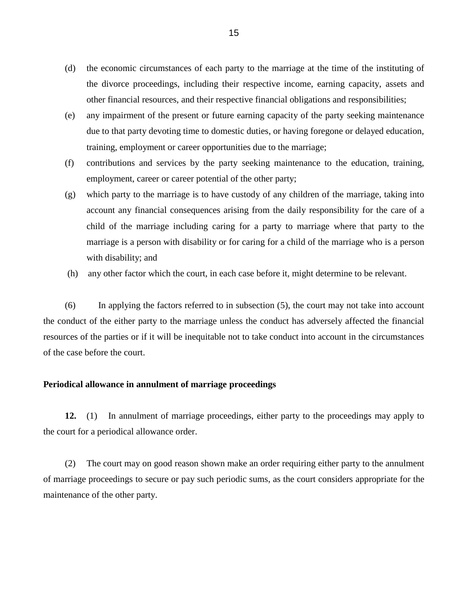- (d) the economic circumstances of each party to the marriage at the time of the instituting of the divorce proceedings, including their respective income, earning capacity, assets and other financial resources, and their respective financial obligations and responsibilities;
- (e) any impairment of the present or future earning capacity of the party seeking maintenance due to that party devoting time to domestic duties, or having foregone or delayed education, training, employment or career opportunities due to the marriage;
- (f) contributions and services by the party seeking maintenance to the education, training, employment, career or career potential of the other party;
- (g) which party to the marriage is to have custody of any children of the marriage, taking into account any financial consequences arising from the daily responsibility for the care of a child of the marriage including caring for a party to marriage where that party to the marriage is a person with disability or for caring for a child of the marriage who is a person with disability; and
- (h) any other factor which the court, in each case before it, might determine to be relevant.

(6) In applying the factors referred to in subsection (5), the court may not take into account the conduct of the either party to the marriage unless the conduct has adversely affected the financial resources of the parties or if it will be inequitable not to take conduct into account in the circumstances of the case before the court.

## **Periodical allowance in annulment of marriage proceedings**

**12.** (1) In annulment of marriage proceedings, either party to the proceedings may apply to the court for a periodical allowance order.

(2) The court may on good reason shown make an order requiring either party to the annulment of marriage proceedings to secure or pay such periodic sums, as the court considers appropriate for the maintenance of the other party.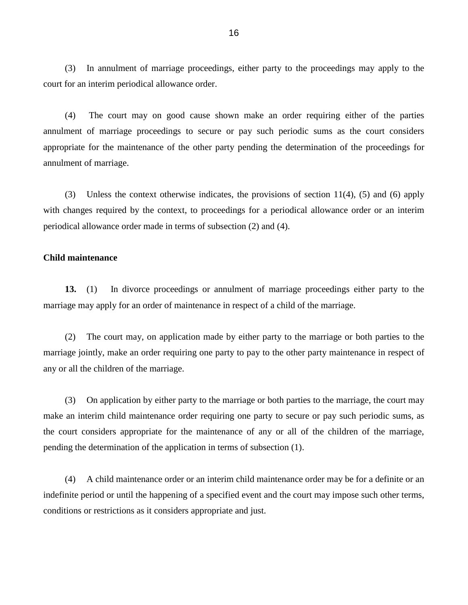(3) In annulment of marriage proceedings, either party to the proceedings may apply to the court for an interim periodical allowance order.

(4) The court may on good cause shown make an order requiring either of the parties annulment of marriage proceedings to secure or pay such periodic sums as the court considers appropriate for the maintenance of the other party pending the determination of the proceedings for annulment of marriage.

(3) Unless the context otherwise indicates, the provisions of section 11(4), (5) and (6) apply with changes required by the context, to proceedings for a periodical allowance order or an interim periodical allowance order made in terms of subsection (2) and (4).

### **Child maintenance**

**13.** (1) In divorce proceedings or annulment of marriage proceedings either party to the marriage may apply for an order of maintenance in respect of a child of the marriage.

(2) The court may, on application made by either party to the marriage or both parties to the marriage jointly, make an order requiring one party to pay to the other party maintenance in respect of any or all the children of the marriage.

(3) On application by either party to the marriage or both parties to the marriage, the court may make an interim child maintenance order requiring one party to secure or pay such periodic sums, as the court considers appropriate for the maintenance of any or all of the children of the marriage, pending the determination of the application in terms of subsection (1).

(4) A child maintenance order or an interim child maintenance order may be for a definite or an indefinite period or until the happening of a specified event and the court may impose such other terms, conditions or restrictions as it considers appropriate and just.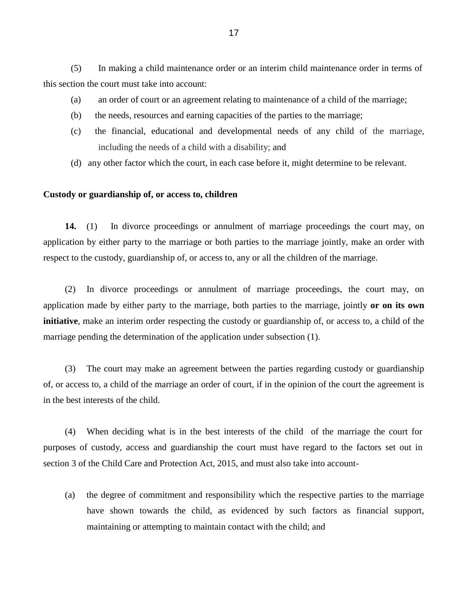(5) In making a child maintenance order or an interim child maintenance order in terms of this section the court must take into account:

- (a) an order of court or an agreement relating to maintenance of a child of the marriage;
- (b) the needs, resources and earning capacities of the parties to the marriage;
- (c) the financial, educational and developmental needs of any child of the marriage, including the needs of a child with a disability; and
- (d) any other factor which the court, in each case before it, might determine to be relevant.

#### **Custody or guardianship of, or access to, children**

**14.** (1) In divorce proceedings or annulment of marriage proceedings the court may, on application by either party to the marriage or both parties to the marriage jointly, make an order with respect to the custody, guardianship of, or access to, any or all the children of the marriage.

(2) In divorce proceedings or annulment of marriage proceedings, the court may, on application made by either party to the marriage, both parties to the marriage, jointly **or on its own initiative**, make an interim order respecting the custody or guardianship of, or access to, a child of the marriage pending the determination of the application under subsection (1).

(3) The court may make an agreement between the parties regarding custody or guardianship of, or access to, a child of the marriage an order of court, if in the opinion of the court the agreement is in the best interests of the child.

(4) When deciding what is in the best interests of the child of the marriage the court for purposes of custody, access and guardianship the court must have regard to the factors set out in section 3 of the Child Care and Protection Act, 2015, and must also take into account-

(a) the degree of commitment and responsibility which the respective parties to the marriage have shown towards the child, as evidenced by such factors as financial support, maintaining or attempting to maintain contact with the child; and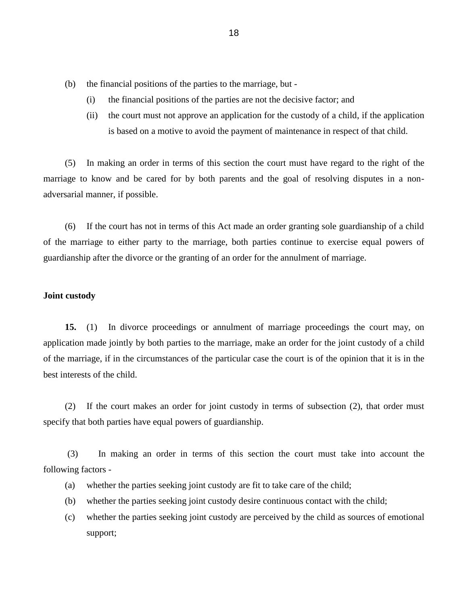- (b) the financial positions of the parties to the marriage, but
	- (i) the financial positions of the parties are not the decisive factor; and
	- (ii) the court must not approve an application for the custody of a child, if the application is based on a motive to avoid the payment of maintenance in respect of that child.

(5) In making an order in terms of this section the court must have regard to the right of the marriage to know and be cared for by both parents and the goal of resolving disputes in a nonadversarial manner, if possible.

(6) If the court has not in terms of this Act made an order granting sole guardianship of a child of the marriage to either party to the marriage, both parties continue to exercise equal powers of guardianship after the divorce or the granting of an order for the annulment of marriage.

### **Joint custody**

**15.** (1) In divorce proceedings or annulment of marriage proceedings the court may, on application made jointly by both parties to the marriage, make an order for the joint custody of a child of the marriage, if in the circumstances of the particular case the court is of the opinion that it is in the best interests of the child.

(2) If the court makes an order for joint custody in terms of subsection (2), that order must specify that both parties have equal powers of guardianship.

(3) In making an order in terms of this section the court must take into account the following factors -

- (a) whether the parties seeking joint custody are fit to take care of the child;
- (b) whether the parties seeking joint custody desire continuous contact with the child;
- (c) whether the parties seeking joint custody are perceived by the child as sources of emotional support;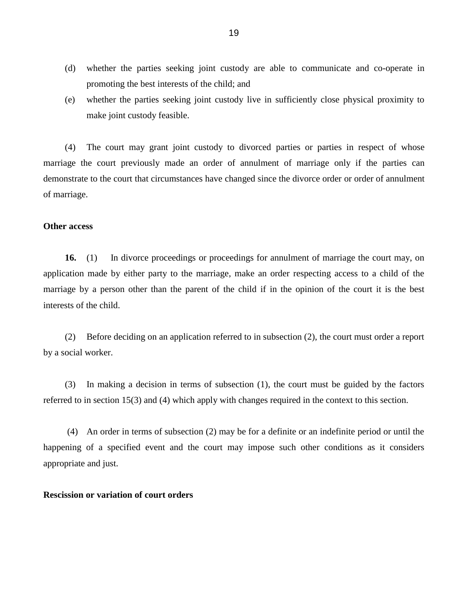- (d) whether the parties seeking joint custody are able to communicate and co-operate in promoting the best interests of the child; and
- (e) whether the parties seeking joint custody live in sufficiently close physical proximity to make joint custody feasible.

(4) The court may grant joint custody to divorced parties or parties in respect of whose marriage the court previously made an order of annulment of marriage only if the parties can demonstrate to the court that circumstances have changed since the divorce order or order of annulment of marriage.

### **Other access**

**16.** (1) In divorce proceedings or proceedings for annulment of marriage the court may, on application made by either party to the marriage, make an order respecting access to a child of the marriage by a person other than the parent of the child if in the opinion of the court it is the best interests of the child.

(2) Before deciding on an application referred to in subsection (2), the court must order a report by a social worker.

(3) In making a decision in terms of subsection (1), the court must be guided by the factors referred to in section 15(3) and (4) which apply with changes required in the context to this section.

(4) An order in terms of subsection (2) may be for a definite or an indefinite period or until the happening of a specified event and the court may impose such other conditions as it considers appropriate and just.

### **Rescission or variation of court orders**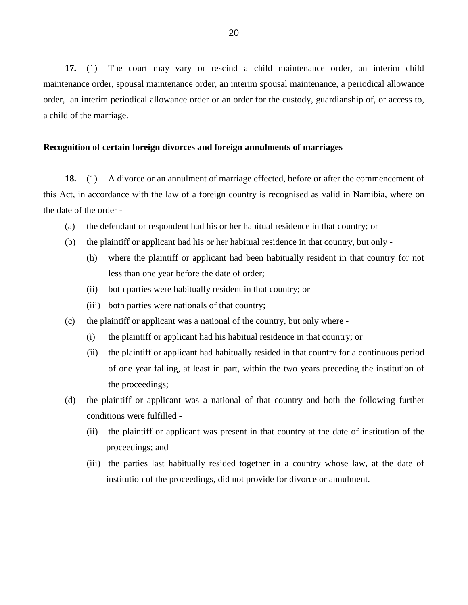**17.** (1) The court may vary or rescind a child maintenance order, an interim child maintenance order, spousal maintenance order, an interim spousal maintenance, a periodical allowance order, an interim periodical allowance order or an order for the custody, guardianship of, or access to, a child of the marriage.

### **Recognition of certain foreign divorces and foreign annulments of marriages**

**18.** (1) A divorce or an annulment of marriage effected, before or after the commencement of this Act, in accordance with the law of a foreign country is recognised as valid in Namibia, where on the date of the order -

- (a) the defendant or respondent had his or her habitual residence in that country; or
- (b) the plaintiff or applicant had his or her habitual residence in that country, but only
	- (h) where the plaintiff or applicant had been habitually resident in that country for not less than one year before the date of order;
	- (ii) both parties were habitually resident in that country; or
	- (iii) both parties were nationals of that country;
- (c) the plaintiff or applicant was a national of the country, but only where
	- (i) the plaintiff or applicant had his habitual residence in that country; or
	- (ii) the plaintiff or applicant had habitually resided in that country for a continuous period of one year falling, at least in part, within the two years preceding the institution of the proceedings;
- (d) the plaintiff or applicant was a national of that country and both the following further conditions were fulfilled -
	- (ii) the plaintiff or applicant was present in that country at the date of institution of the proceedings; and
	- (iii) the parties last habitually resided together in a country whose law, at the date of institution of the proceedings, did not provide for divorce or annulment.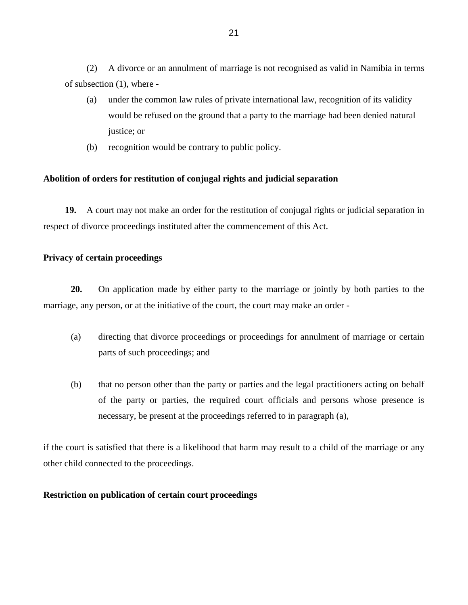(2) A divorce or an annulment of marriage is not recognised as valid in Namibia in terms of subsection (1), where -

- (a) under the common law rules of private international law, recognition of its validity would be refused on the ground that a party to the marriage had been denied natural justice; or
- (b) recognition would be contrary to public policy.

## **Abolition of orders for restitution of conjugal rights and judicial separation**

**19.** A court may not make an order for the restitution of conjugal rights or judicial separation in respect of divorce proceedings instituted after the commencement of this Act.

### **Privacy of certain proceedings**

**20.** On application made by either party to the marriage or jointly by both parties to the marriage, any person, or at the initiative of the court, the court may make an order -

- (a) directing that divorce proceedings or proceedings for annulment of marriage or certain parts of such proceedings; and
- (b) that no person other than the party or parties and the legal practitioners acting on behalf of the party or parties, the required court officials and persons whose presence is necessary, be present at the proceedings referred to in paragraph (a),

if the court is satisfied that there is a likelihood that harm may result to a child of the marriage or any other child connected to the proceedings.

### **Restriction on publication of certain court proceedings**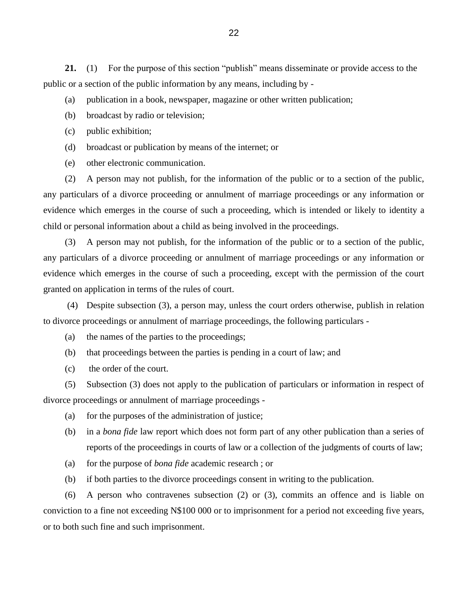**21.** (1) For the purpose of this section "publish" means disseminate or provide access to the public or a section of the public information by any means, including by -

- (a) publication in a book, newspaper, magazine or other written publication;
- (b) broadcast by radio or television;
- (c) public exhibition;
- (d) broadcast or publication by means of the internet; or
- (e) other electronic communication.

(2) A person may not publish, for the information of the public or to a section of the public, any particulars of a divorce proceeding or annulment of marriage proceedings or any information or evidence which emerges in the course of such a proceeding, which is intended or likely to identity a child or personal information about a child as being involved in the proceedings.

(3) A person may not publish, for the information of the public or to a section of the public, any particulars of a divorce proceeding or annulment of marriage proceedings or any information or evidence which emerges in the course of such a proceeding, except with the permission of the court granted on application in terms of the rules of court.

(4) Despite subsection (3), a person may, unless the court orders otherwise, publish in relation to divorce proceedings or annulment of marriage proceedings, the following particulars -

- (a) the names of the parties to the proceedings;
- (b) that proceedings between the parties is pending in a court of law; and
- (c) the order of the court.

(5) Subsection (3) does not apply to the publication of particulars or information in respect of divorce proceedings or annulment of marriage proceedings -

- (a) for the purposes of the administration of justice;
- (b) in a *bona fide* law report which does not form part of any other publication than a series of reports of the proceedings in courts of law or a collection of the judgments of courts of law;
- (a) for the purpose of *bona fide* academic research ; or
- (b) if both parties to the divorce proceedings consent in writing to the publication.

(6) A person who contravenes subsection (2) or (3), commits an offence and is liable on conviction to a fine not exceeding N\$100 000 or to imprisonment for a period not exceeding five years, or to both such fine and such imprisonment.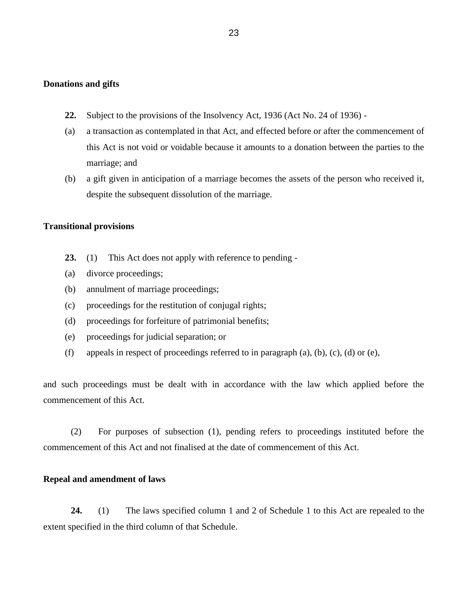### **Donations and gifts**

- **22.** Subject to the provisions of the Insolvency Act, 1936 (Act No. 24 of 1936) -
- (a) a transaction as contemplated in that Act, and effected before or after the commencement of this Act is not void or voidable because it amounts to a donation between the parties to the marriage; and
- (b) a gift given in anticipation of a marriage becomes the assets of the person who received it, despite the subsequent dissolution of the marriage.

#### **Transitional provisions**

- **23.** (1) This Act does not apply with reference to pending -
- (a) divorce proceedings;
- (b) annulment of marriage proceedings;
- (c) proceedings for the restitution of conjugal rights;
- (d) proceedings for forfeiture of patrimonial benefits;
- (e) proceedings for judicial separation; or
- (f) appeals in respect of proceedings referred to in paragraph (a), (b), (c), (d) or (e),

and such proceedings must be dealt with in accordance with the law which applied before the commencement of this Act.

(2) For purposes of subsection (1), pending refers to proceedings instituted before the commencement of this Act and not finalised at the date of commencement of this Act.

### **Repeal and amendment of laws**

**24.** (1) The laws specified column 1 and 2 of Schedule 1 to this Act are repealed to the extent specified in the third column of that Schedule.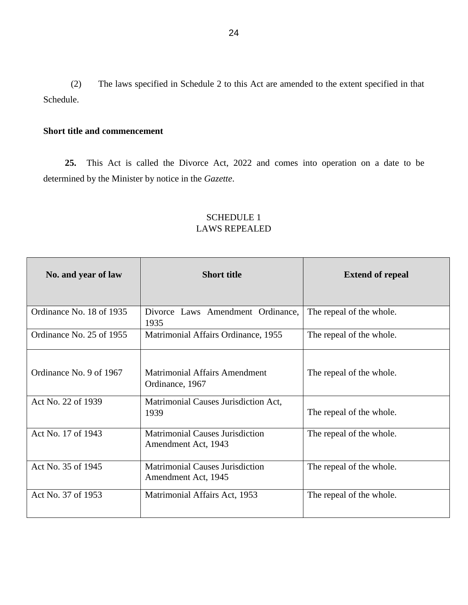(2) The laws specified in Schedule 2 to this Act are amended to the extent specified in that Schedule.

# **Short title and commencement**

**25.** This Act is called the Divorce Act, 2022 and comes into operation on a date to be determined by the Minister by notice in the *Gazette*.

| No. and year of law      | <b>Short title</b>                                            | <b>Extend of repeal</b>  |
|--------------------------|---------------------------------------------------------------|--------------------------|
| Ordinance No. 18 of 1935 | Divorce Laws Amendment Ordinance,<br>1935                     | The repeal of the whole. |
| Ordinance No. 25 of 1955 | Matrimonial Affairs Ordinance, 1955                           | The repeal of the whole. |
| Ordinance No. 9 of 1967  | <b>Matrimonial Affairs Amendment</b><br>Ordinance, 1967       | The repeal of the whole. |
| Act No. 22 of 1939       | Matrimonial Causes Jurisdiction Act,<br>1939                  | The repeal of the whole. |
| Act No. 17 of 1943       | <b>Matrimonial Causes Jurisdiction</b><br>Amendment Act, 1943 | The repeal of the whole. |
| Act No. 35 of 1945       | <b>Matrimonial Causes Jurisdiction</b><br>Amendment Act, 1945 | The repeal of the whole. |
| Act No. 37 of 1953       | Matrimonial Affairs Act, 1953                                 | The repeal of the whole. |

# SCHEDULE 1 LAWS REPEALED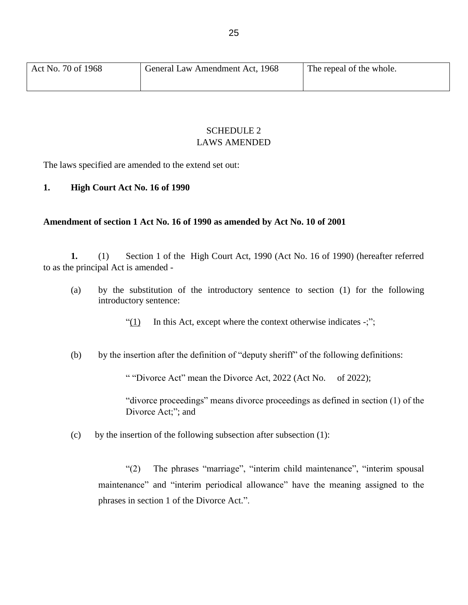# SCHEDULE 2 LAWS AMENDED

The laws specified are amended to the extend set out:

# **1. High Court Act No. 16 of 1990**

## **Amendment of section 1 Act No. 16 of 1990 as amended by Act No. 10 of 2001**

**1.** (1) Section 1 of the High Court Act, 1990 (Act No. 16 of 1990) (hereafter referred to as the principal Act is amended -

(a) by the substitution of the introductory sentence to section (1) for the following introductory sentence:

" $(1)$  In this Act, except where the context otherwise indicates -;";

(b) by the insertion after the definition of "deputy sheriff" of the following definitions:

" "Divorce Act" mean the Divorce Act, 2022 (Act No. of 2022);

"divorce proceedings" means divorce proceedings as defined in section (1) of the Divorce Act;"; and

(c) by the insertion of the following subsection after subsection (1):

"(2) The phrases "marriage", "interim child maintenance", "interim spousal maintenance" and "interim periodical allowance" have the meaning assigned to the phrases in section 1 of the Divorce Act.".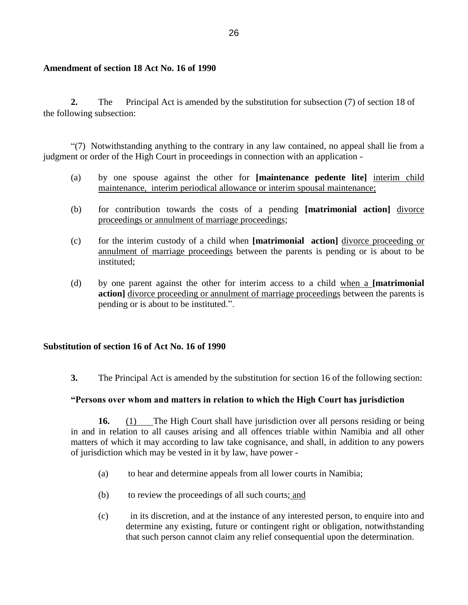## **Amendment of section 18 Act No. 16 of 1990**

**2.** The Principal Act is amended by the substitution for subsection (7) of section 18 of the following subsection:

 "(7) Notwithstanding anything to the contrary in any law contained, no appeal shall lie from a judgment or order of the High Court in proceedings in connection with an application -

- (a) by one spouse against the other for **[maintenance pedente lite]** interim child maintenance, interim periodical allowance or interim spousal maintenance;
- (b) for contribution towards the costs of a pending **[matrimonial action]** divorce proceedings or annulment of marriage proceedings;
- (c) for the interim custody of a child when **[matrimonial action]** divorce proceeding or annulment of marriage proceedings between the parents is pending or is about to be instituted;
- (d) by one parent against the other for interim access to a child when a **[matrimonial action]** divorce proceeding or annulment of marriage proceedings between the parents is pending or is about to be instituted.".

# **Substitution of section 16 of Act No. 16 of 1990**

**3.** The Principal Act is amended by the substitution for section 16 of the following section:

### **"Persons over whom and matters in relation to which the High Court has jurisdiction**

**16.** (1) The High Court shall have jurisdiction over all persons residing or being in and in relation to all causes arising and all offences triable within Namibia and all other matters of which it may according to law take cognisance, and shall, in addition to any powers of jurisdiction which may be vested in it by law, have power -

- (a) to hear and determine appeals from all lower courts in Namibia;
- (b) to review the proceedings of all such courts; and
- (c) in its discretion, and at the instance of any interested person, to enquire into and determine any existing, future or contingent right or obligation, notwithstanding that such person cannot claim any relief consequential upon the determination.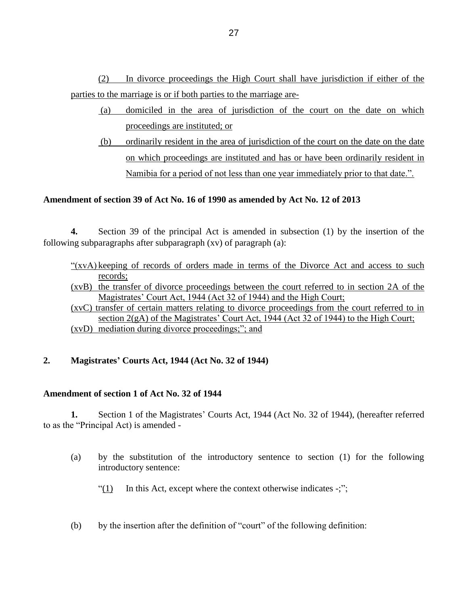(2) In divorce proceedings the High Court shall have jurisdiction if either of the parties to the marriage is or if both parties to the marriage are-

- (a) domiciled in the area of jurisdiction of the court on the date on which proceedings are instituted; or
- (b) ordinarily resident in the area of jurisdiction of the court on the date on the date on which proceedings are instituted and has or have been ordinarily resident in Namibia for a period of not less than one year immediately prior to that date.".

# **Amendment of section 39 of Act No. 16 of 1990 as amended by Act No. 12 of 2013**

**4.** Section 39 of the principal Act is amended in subsection (1) by the insertion of the following subparagraphs after subparagraph  $(xv)$  of paragraph  $(a)$ :

- "(xvA) keeping of records of orders made in terms of the Divorce Act and access to such records;
- (xvB) the transfer of divorce proceedings between the court referred to in section 2A of the Magistrates' Court Act, 1944 (Act 32 of 1944) and the High Court;
- (xvC) transfer of certain matters relating to divorce proceedings from the court referred to in section 2(gA) of the Magistrates' Court Act, 1944 (Act 32 of 1944) to the High Court; (xvD) mediation during divorce proceedings;"; and

# **2. Magistrates' Courts Act, 1944 (Act No. 32 of 1944)**

# **Amendment of section 1 of Act No. 32 of 1944**

**1.** Section 1 of the Magistrates' Courts Act, 1944 (Act No. 32 of 1944), (hereafter referred to as the "Principal Act) is amended -

- (a) by the substitution of the introductory sentence to section (1) for the following introductory sentence:
	- "(1) In this Act, except where the context otherwise indicates  $-\ddot{r}$ ;";
- (b) by the insertion after the definition of "court" of the following definition: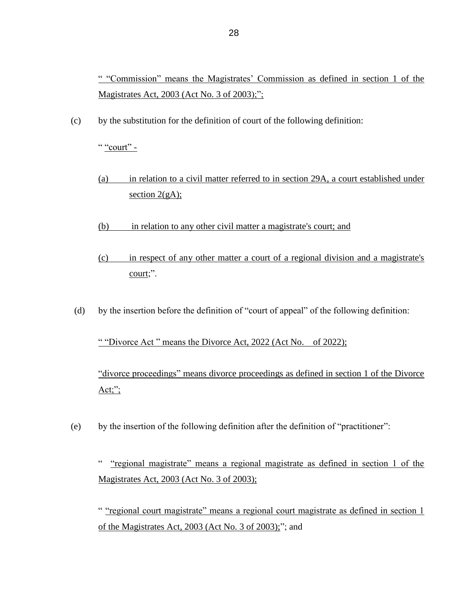" "Commission" means the Magistrates' Commission as defined in section 1 of the Magistrates Act, 2003 (Act No. 3 of 2003);":

(c) by the substitution for the definition of court of the following definition:

" "court" -

- (a) in relation to a civil matter referred to in section 29A, a court established under section  $2(gA)$ ;
- (b) in relation to any other civil matter a magistrate's court; and
- (c) in respect of any other matter a court of a regional division and a magistrate's court;".
- (d) by the insertion before the definition of "court of appeal" of the following definition:

" "Divorce Act " means the Divorce Act, 2022 (Act No. of 2022);

"divorce proceedings" means divorce proceedings as defined in section 1 of the Divorce  $Act;$ ";

(e) by the insertion of the following definition after the definition of "practitioner":

" "regional magistrate" means a regional magistrate as defined in section 1 of the Magistrates Act, 2003 (Act No. 3 of 2003);

" "regional court magistrate" means a regional court magistrate as defined in section 1 of the Magistrates Act, 2003 (Act No. 3 of 2003);"; and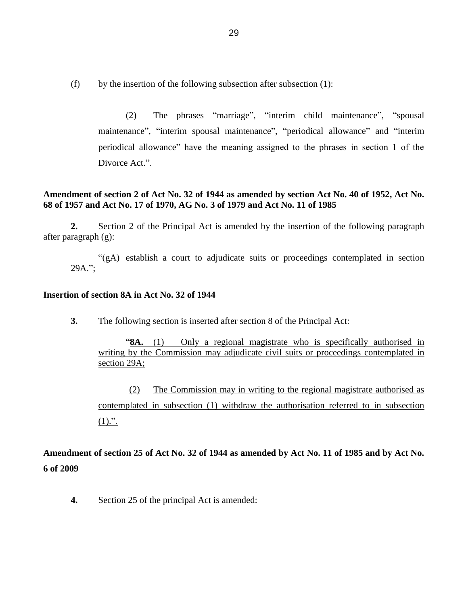(f) by the insertion of the following subsection after subsection  $(1)$ :

(2) The phrases "marriage", "interim child maintenance", "spousal maintenance", "interim spousal maintenance", "periodical allowance" and "interim periodical allowance" have the meaning assigned to the phrases in section 1 of the Divorce Act.".

# **Amendment of section 2 of Act No. 32 of 1944 as amended by section Act No. 40 of 1952, Act No. 68 of 1957 and Act No. 17 of 1970, AG No. 3 of 1979 and Act No. 11 of 1985**

**2.** Section 2 of the Principal Act is amended by the insertion of the following paragraph after paragraph (g):

"(gA) establish a court to adjudicate suits or proceedings contemplated in section 29A.";

# **Insertion of section 8A in Act No. 32 of 1944**

**3.** The following section is inserted after section 8 of the Principal Act:

"**8A.** (1) Only a regional magistrate who is specifically authorised in writing by the Commission may adjudicate civil suits or proceedings contemplated in section 29A;

(2) The Commission may in writing to the regional magistrate authorised as contemplated in subsection (1) withdraw the authorisation referred to in subsection  $(1).$ ".

**Amendment of section 25 of Act No. 32 of 1944 as amended by Act No. 11 of 1985 and by Act No. 6 of 2009**

**4.** Section 25 of the principal Act is amended: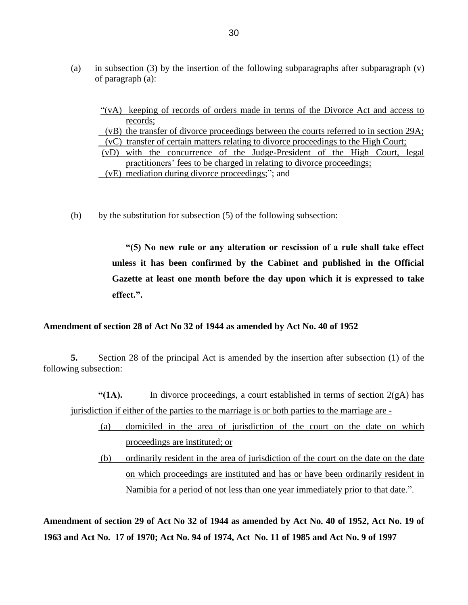- (a) in subsection (3) by the insertion of the following subparagraphs after subparagraph  $(v)$ of paragraph (a):
	- "(vA) keeping of records of orders made in terms of the Divorce Act and access to records; (vB) the transfer of divorce proceedings between the courts referred to in section 29A; (vC) transfer of certain matters relating to divorce proceedings to the High Court; (vD) with the concurrence of the Judge-President of the High Court, legal practitioners' fees to be charged in relating to divorce proceedings; (vE) mediation during divorce proceedings;"; and
- (b) by the substitution for subsection  $(5)$  of the following subsection:

**"(5) No new rule or any alteration or rescission of a rule shall take effect unless it has been confirmed by the Cabinet and published in the Official Gazette at least one month before the day upon which it is expressed to take effect.".**

### **Amendment of section 28 of Act No 32 of 1944 as amended by Act No. 40 of 1952**

**5.** Section 28 of the principal Act is amended by the insertion after subsection (1) of the following subsection:

**"(1A).** In divorce proceedings, a court established in terms of section 2(gA) has jurisdiction if either of the parties to the marriage is or both parties to the marriage are -

- (a) domiciled in the area of jurisdiction of the court on the date on which proceedings are instituted; or
- (b) ordinarily resident in the area of jurisdiction of the court on the date on the date on which proceedings are instituted and has or have been ordinarily resident in Namibia for a period of not less than one year immediately prior to that date.".

**Amendment of section 29 of Act No 32 of 1944 as amended by Act No. 40 of 1952, Act No. 19 of 1963 and Act No. 17 of 1970; Act No. 94 of 1974, Act No. 11 of 1985 and Act No. 9 of 1997**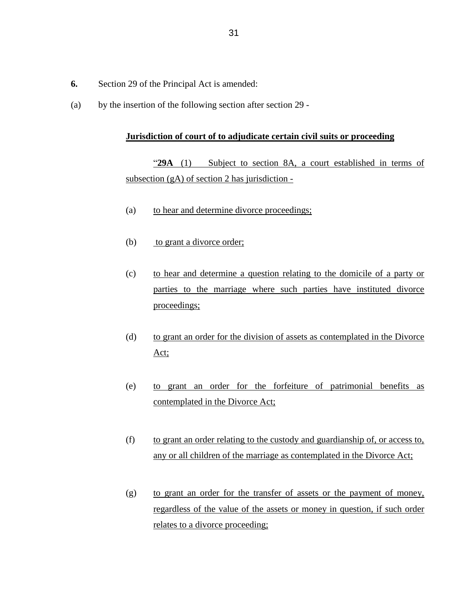- **6.** Section 29 of the Principal Act is amended:
- (a) by the insertion of the following section after section 29 -

## **Jurisdiction of court of to adjudicate certain civil suits or proceeding**

"**29A** (1) Subject to section 8A, a court established in terms of subsection (gA) of section 2 has jurisdiction -

- (a) to hear and determine divorce proceedings;
- (b) to grant a divorce order;
- (c) to hear and determine a question relating to the domicile of a party or parties to the marriage where such parties have instituted divorce proceedings;
- (d) to grant an order for the division of assets as contemplated in the Divorce Act;
- (e) to grant an order for the forfeiture of patrimonial benefits as contemplated in the Divorce Act;
- (f) to grant an order relating to the custody and guardianship of, or access to, any or all children of the marriage as contemplated in the Divorce Act;
- (g) to grant an order for the transfer of assets or the payment of money, regardless of the value of the assets or money in question, if such order relates to a divorce proceeding;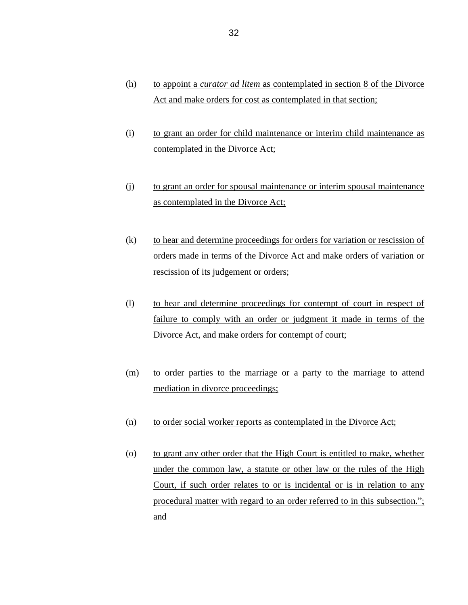- (h) to appoint a *curator ad litem* as contemplated in section 8 of the Divorce Act and make orders for cost as contemplated in that section;
- (i) to grant an order for child maintenance or interim child maintenance as contemplated in the Divorce Act;
- (j) to grant an order for spousal maintenance or interim spousal maintenance as contemplated in the Divorce Act;
- (k) to hear and determine proceedings for orders for variation or rescission of orders made in terms of the Divorce Act and make orders of variation or rescission of its judgement or orders;
- (l) to hear and determine proceedings for contempt of court in respect of failure to comply with an order or judgment it made in terms of the Divorce Act, and make orders for contempt of court;
- (m) to order parties to the marriage or a party to the marriage to attend mediation in divorce proceedings;
- (n) to order social worker reports as contemplated in the Divorce Act;
- (o) to grant any other order that the High Court is entitled to make, whether under the common law, a statute or other law or the rules of the High Court, if such order relates to or is incidental or is in relation to any procedural matter with regard to an order referred to in this subsection."; and